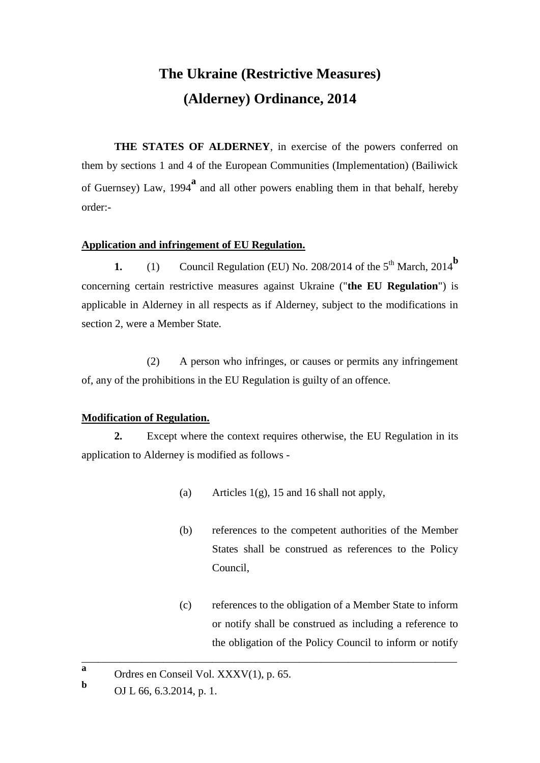# **The Ukraine (Restrictive Measures) (Alderney) Ordinance, 2014**

**THE STATES OF ALDERNEY**, in exercise of the powers conferred on them by sections 1 and 4 of the European Communities (Implementation) (Bailiwick of Guernsey) Law, 1994**<sup>a</sup>** and all other powers enabling them in that behalf, hereby order:-

# **Application and infringement of EU Regulation.**

**1.** (1) Council Regulation (EU) No. 208/2014 of the  $5<sup>th</sup>$  March, 2014<sup>b</sup> concerning certain restrictive measures against Ukraine ("**the EU Regulation**") is applicable in Alderney in all respects as if Alderney, subject to the modifications in section 2, were a Member State.

(2) A person who infringes, or causes or permits any infringement of, any of the prohibitions in the EU Regulation is guilty of an offence.

# **Modification of Regulation.**

**2.** Except where the context requires otherwise, the EU Regulation in its application to Alderney is modified as follows -

\_\_\_\_\_\_\_\_\_\_\_\_\_\_\_\_\_\_\_\_\_\_\_\_\_\_\_\_\_\_\_\_\_\_\_\_\_\_\_\_\_\_\_\_\_\_\_\_\_\_\_\_\_\_\_\_\_\_\_\_\_\_\_\_\_\_\_\_\_

- (a) Articles  $1(g)$ , 15 and 16 shall not apply,
- (b) references to the competent authorities of the Member States shall be construed as references to the Policy Council,
- (c) references to the obligation of a Member State to inform or notify shall be construed as including a reference to the obligation of the Policy Council to inform or notify

**a** Ordres en Conseil Vol. XXXV(1), p. 65.

**b** OJ L 66, 6.3.2014, p. 1.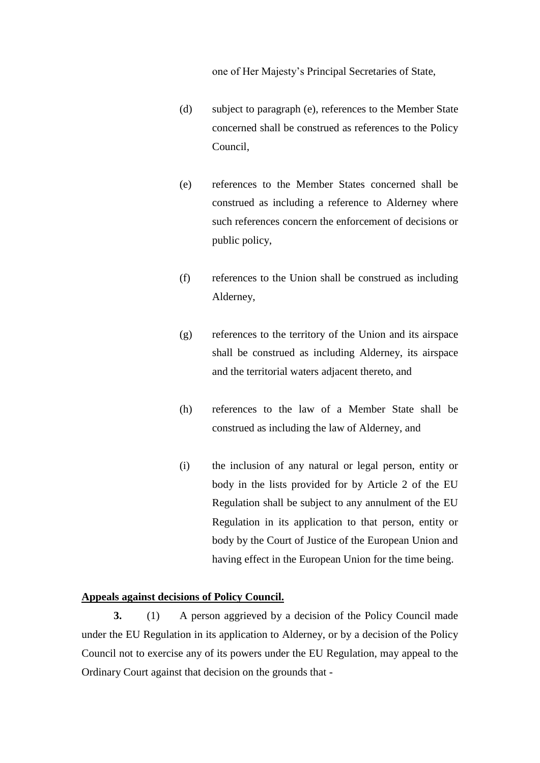one of Her Majesty's Principal Secretaries of State,

- (d) subject to paragraph (e), references to the Member State concerned shall be construed as references to the Policy Council,
- (e) references to the Member States concerned shall be construed as including a reference to Alderney where such references concern the enforcement of decisions or public policy,
- (f) references to the Union shall be construed as including Alderney,
- (g) references to the territory of the Union and its airspace shall be construed as including Alderney, its airspace and the territorial waters adjacent thereto, and
- (h) references to the law of a Member State shall be construed as including the law of Alderney, and
- (i) the inclusion of any natural or legal person, entity or body in the lists provided for by Article 2 of the EU Regulation shall be subject to any annulment of the EU Regulation in its application to that person, entity or body by the Court of Justice of the European Union and having effect in the European Union for the time being.

# **Appeals against decisions of Policy Council.**

**3.** (1) A person aggrieved by a decision of the Policy Council made under the EU Regulation in its application to Alderney, or by a decision of the Policy Council not to exercise any of its powers under the EU Regulation, may appeal to the Ordinary Court against that decision on the grounds that -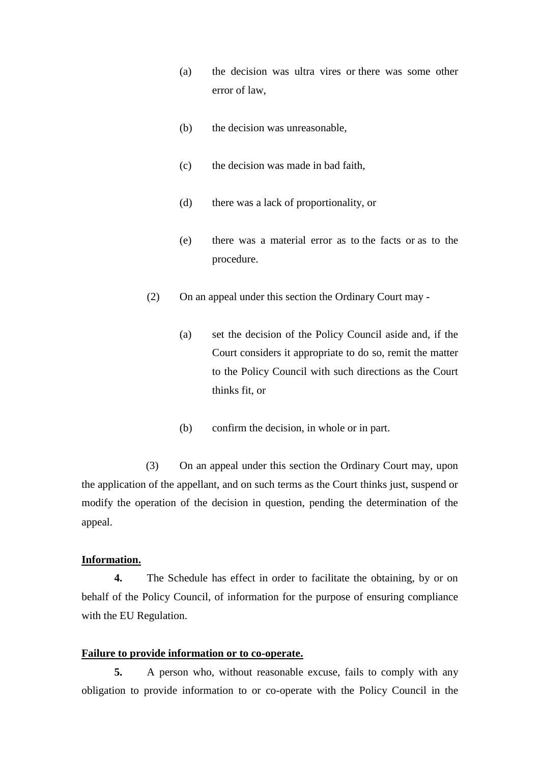- (a) the decision was ultra vires or there was some other error of law,
- (b) the decision was unreasonable,
- (c) the decision was made in bad faith,
- (d) there was a lack of proportionality, or
- (e) there was a material error as to the facts or as to the procedure.
- (2) On an appeal under this section the Ordinary Court may
	- (a) set the decision of the Policy Council aside and, if the Court considers it appropriate to do so, remit the matter to the Policy Council with such directions as the Court thinks fit, or
	- (b) confirm the decision, in whole or in part.

(3) On an appeal under this section the Ordinary Court may, upon the application of the appellant, and on such terms as the Court thinks just, suspend or modify the operation of the decision in question, pending the determination of the appeal.

# **Information.**

**4.** The Schedule has effect in order to facilitate the obtaining, by or on behalf of the Policy Council, of information for the purpose of ensuring compliance with the EU Regulation.

## **Failure to provide information or to co-operate.**

**5.** A person who, without reasonable excuse, fails to comply with any obligation to provide information to or co-operate with the Policy Council in the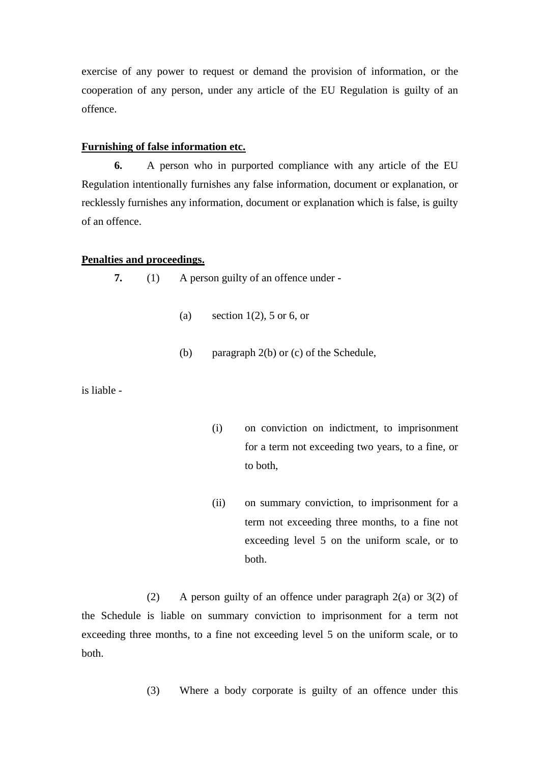exercise of any power to request or demand the provision of information, or the cooperation of any person, under any article of the EU Regulation is guilty of an offence.

## **Furnishing of false information etc.**

**6.** A person who in purported compliance with any article of the EU Regulation intentionally furnishes any false information, document or explanation, or recklessly furnishes any information, document or explanation which is false, is guilty of an offence.

#### **Penalties and proceedings.**

**7.** (1) A person guilty of an offence under -

- (a) section  $1(2)$ , 5 or 6, or
- (b) paragraph 2(b) or (c) of the Schedule,

is liable -

- (i) on conviction on indictment, to imprisonment for a term not exceeding two years, to a fine, or to both,
- (ii) on summary conviction, to imprisonment for a term not exceeding three months, to a fine not exceeding level 5 on the uniform scale, or to both.

(2) A person guilty of an offence under paragraph 2(a) or 3(2) of the Schedule is liable on summary conviction to imprisonment for a term not exceeding three months, to a fine not exceeding level 5 on the uniform scale, or to both.

(3) Where a body corporate is guilty of an offence under this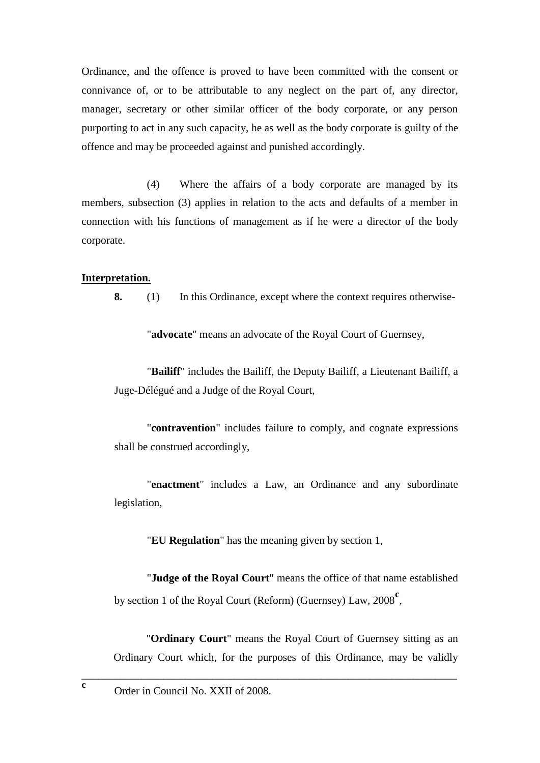Ordinance, and the offence is proved to have been committed with the consent or connivance of, or to be attributable to any neglect on the part of, any director, manager, secretary or other similar officer of the body corporate, or any person purporting to act in any such capacity, he as well as the body corporate is guilty of the offence and may be proceeded against and punished accordingly.

(4) Where the affairs of a body corporate are managed by its members, subsection (3) applies in relation to the acts and defaults of a member in connection with his functions of management as if he were a director of the body corporate.

## **Interpretation.**

**8.** (1) In this Ordinance, except where the context requires otherwise-

"**advocate**" means an advocate of the Royal Court of Guernsey,

"**Bailiff**" includes the Bailiff, the Deputy Bailiff, a Lieutenant Bailiff, a Juge-Délégué and a Judge of the Royal Court,

"**contravention**" includes failure to comply, and cognate expressions shall be construed accordingly,

"**enactment**" includes a Law, an Ordinance and any subordinate legislation,

"**EU Regulation**" has the meaning given by section 1,

"**Judge of the Royal Court**" means the office of that name established by section 1 of the Royal Court (Reform) (Guernsey) Law, 2008**<sup>c</sup>** ,

"**Ordinary Court**" means the Royal Court of Guernsey sitting as an Ordinary Court which, for the purposes of this Ordinance, may be validly

\_\_\_\_\_\_\_\_\_\_\_\_\_\_\_\_\_\_\_\_\_\_\_\_\_\_\_\_\_\_\_\_\_\_\_\_\_\_\_\_\_\_\_\_\_\_\_\_\_\_\_\_\_\_\_\_\_\_\_\_\_\_\_\_\_\_\_\_\_

**c**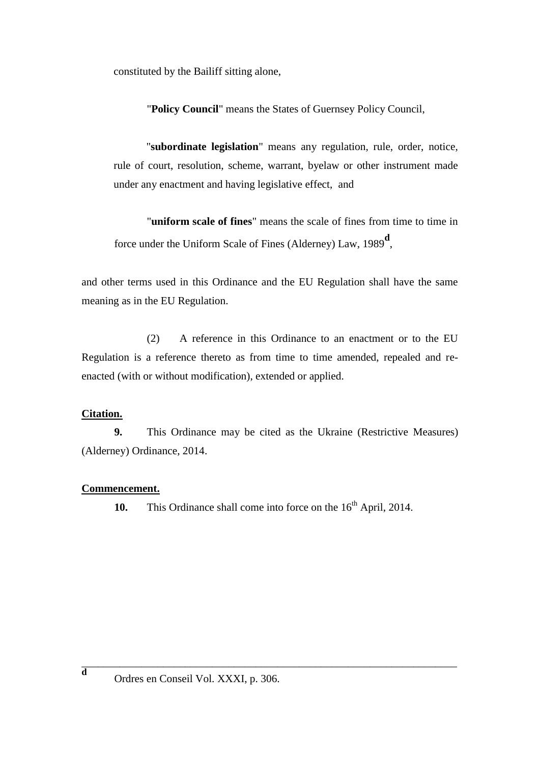constituted by the Bailiff sitting alone,

"**Policy Council**" means the States of Guernsey Policy Council,

"**subordinate legislation**" means any regulation, rule, order, notice, rule of court, resolution, scheme, warrant, byelaw or other instrument made under any enactment and having legislative effect, and

"**uniform scale of fines**" means the scale of fines from time to time in force under the Uniform Scale of Fines (Alderney) Law, 1989**<sup>d</sup>** ,

and other terms used in this Ordinance and the EU Regulation shall have the same meaning as in the EU Regulation.

(2) A reference in this Ordinance to an enactment or to the EU Regulation is a reference thereto as from time to time amended, repealed and reenacted (with or without modification), extended or applied.

# **Citation.**

**9.** This Ordinance may be cited as the Ukraine (Restrictive Measures) (Alderney) Ordinance, 2014.

# **Commencement.**

**10.** This Ordinance shall come into force on the 16<sup>th</sup> April, 2014.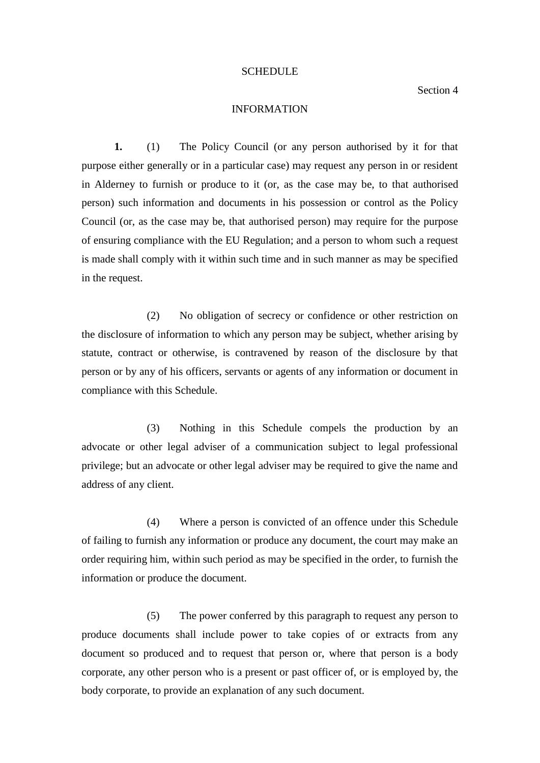#### SCHEDULE

Section 4

## INFORMATION

**1.** (1) The Policy Council (or any person authorised by it for that purpose either generally or in a particular case) may request any person in or resident in Alderney to furnish or produce to it (or, as the case may be, to that authorised person) such information and documents in his possession or control as the Policy Council (or, as the case may be, that authorised person) may require for the purpose of ensuring compliance with the EU Regulation; and a person to whom such a request is made shall comply with it within such time and in such manner as may be specified in the request.

(2) No obligation of secrecy or confidence or other restriction on the disclosure of information to which any person may be subject, whether arising by statute, contract or otherwise, is contravened by reason of the disclosure by that person or by any of his officers, servants or agents of any information or document in compliance with this Schedule.

(3) Nothing in this Schedule compels the production by an advocate or other legal adviser of a communication subject to legal professional privilege; but an advocate or other legal adviser may be required to give the name and address of any client.

(4) Where a person is convicted of an offence under this Schedule of failing to furnish any information or produce any document, the court may make an order requiring him, within such period as may be specified in the order, to furnish the information or produce the document.

(5) The power conferred by this paragraph to request any person to produce documents shall include power to take copies of or extracts from any document so produced and to request that person or, where that person is a body corporate, any other person who is a present or past officer of, or is employed by, the body corporate, to provide an explanation of any such document.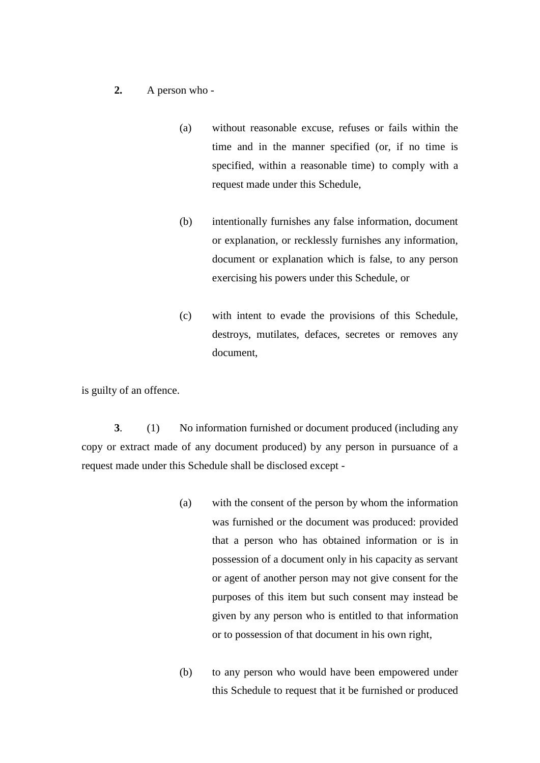## **2.** A person who -

- (a) without reasonable excuse, refuses or fails within the time and in the manner specified (or, if no time is specified, within a reasonable time) to comply with a request made under this Schedule,
- (b) intentionally furnishes any false information, document or explanation, or recklessly furnishes any information, document or explanation which is false, to any person exercising his powers under this Schedule, or
- (c) with intent to evade the provisions of this Schedule, destroys, mutilates, defaces, secretes or removes any document,

is guilty of an offence.

**3**. (1) No information furnished or document produced (including any copy or extract made of any document produced) by any person in pursuance of a request made under this Schedule shall be disclosed except -

- (a) with the consent of the person by whom the information was furnished or the document was produced: provided that a person who has obtained information or is in possession of a document only in his capacity as servant or agent of another person may not give consent for the purposes of this item but such consent may instead be given by any person who is entitled to that information or to possession of that document in his own right,
- (b) to any person who would have been empowered under this Schedule to request that it be furnished or produced